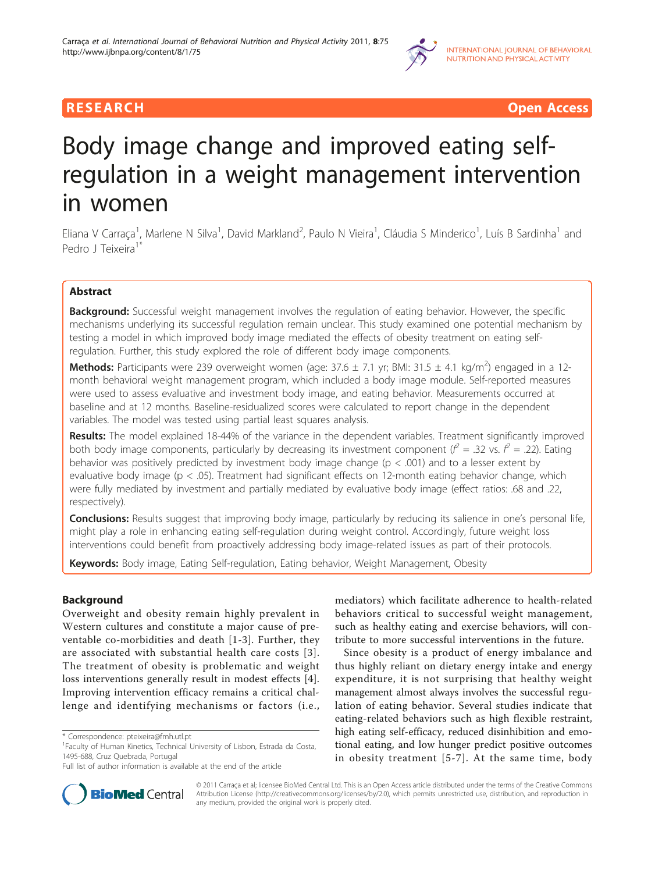

**RESEARCH CONTROL** CONTROL CONTROL CONTROL CONTROL CONTROL CONTROL CONTROL CONTROL CONTROL CONTROL CONTROL CONTROL CONTROL CONTROL CONTROL CONTROL CONTROL CONTROL CONTROL CONTROL CONTROL CONTROL CONTROL CONTROL CONTROL CON

# Body image change and improved eating selfregulation in a weight management intervention in women

Eliana V Carraça<sup>1</sup>, Marlene N Silva<sup>1</sup>, David Markland<sup>2</sup>, Paulo N Vieira<sup>1</sup>, Cláudia S Minderico<sup>1</sup>, Luís B Sardinha<sup>1</sup> and Pedro J Teixeira<sup>1\*</sup>

# Abstract

**Background:** Successful weight management involves the regulation of eating behavior. However, the specific mechanisms underlying its successful regulation remain unclear. This study examined one potential mechanism by testing a model in which improved body image mediated the effects of obesity treatment on eating selfregulation. Further, this study explored the role of different body image components.

Methods: Participants were 239 overweight women (age: 37.6 ± 7.1 yr; BMI: 31.5 ± 4.1 kg/m<sup>2</sup>) engaged in a 12month behavioral weight management program, which included a body image module. Self-reported measures were used to assess evaluative and investment body image, and eating behavior. Measurements occurred at baseline and at 12 months. Baseline-residualized scores were calculated to report change in the dependent variables. The model was tested using partial least squares analysis.

Results: The model explained 18-44% of the variance in the dependent variables. Treatment significantly improved both body image components, particularly by decreasing its investment component ( $f^2 = 0.32$  vs.  $f^2 = 0.22$ ). Eating behavior was positively predicted by investment body image change ( $p < .001$ ) and to a lesser extent by evaluative body image ( $p < .05$ ). Treatment had significant effects on 12-month eating behavior change, which were fully mediated by investment and partially mediated by evaluative body image (effect ratios: .68 and .22, respectively).

Conclusions: Results suggest that improving body image, particularly by reducing its salience in one's personal life, might play a role in enhancing eating self-regulation during weight control. Accordingly, future weight loss interventions could benefit from proactively addressing body image-related issues as part of their protocols.

Keywords: Body image, Eating Self-regulation, Eating behavior, Weight Management, Obesity

# Background

Overweight and obesity remain highly prevalent in Western cultures and constitute a major cause of preventable co-morbidities and death [\[1](#page-8-0)-[3](#page-9-0)]. Further, they are associated with substantial health care costs [[3\]](#page-9-0). The treatment of obesity is problematic and weight loss interventions generally result in modest effects [[4](#page-9-0)]. Improving intervention efficacy remains a critical challenge and identifying mechanisms or factors (i.e.,



Since obesity is a product of energy imbalance and thus highly reliant on dietary energy intake and energy expenditure, it is not surprising that healthy weight management almost always involves the successful regulation of eating behavior. Several studies indicate that eating-related behaviors such as high flexible restraint, high eating self-efficacy, reduced disinhibition and emotional eating, and low hunger predict positive outcomes in obesity treatment [[5-7](#page-9-0)]. At the same time, body



© 2011 Carraça et al; licensee BioMed Central Ltd. This is an Open Access article distributed under the terms of the Creative Commons Attribution License [\(http://creativecommons.org/licenses/by/2.0](http://creativecommons.org/licenses/by/2.0)), which permits unrestricted use, distribution, and reproduction in any medium, provided the original work is properly cited.

<sup>\*</sup> Correspondence: [pteixeira@fmh.utl.pt](mailto:pteixeira@fmh.utl.pt)

<sup>&</sup>lt;sup>1</sup> Faculty of Human Kinetics, Technical University of Lisbon, Estrada da Costa, 1495-688, Cruz Quebrada, Portugal

Full list of author information is available at the end of the article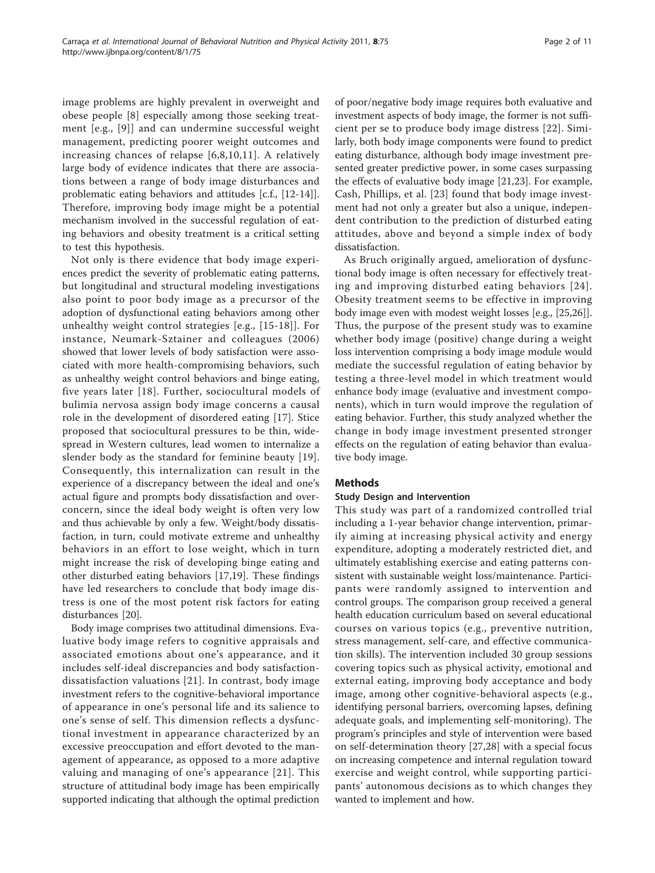image problems are highly prevalent in overweight and obese people [[8\]](#page-9-0) especially among those seeking treatment [e.g., [[9](#page-9-0)]] and can undermine successful weight management, predicting poorer weight outcomes and increasing chances of relapse [[6,8](#page-9-0),[10,11\]](#page-9-0). A relatively large body of evidence indicates that there are associations between a range of body image disturbances and problematic eating behaviors and attitudes [c.f., [\[12-14](#page-9-0)]]. Therefore, improving body image might be a potential mechanism involved in the successful regulation of eating behaviors and obesity treatment is a critical setting to test this hypothesis.

Not only is there evidence that body image experiences predict the severity of problematic eating patterns, but longitudinal and structural modeling investigations also point to poor body image as a precursor of the adoption of dysfunctional eating behaviors among other unhealthy weight control strategies [e.g., [\[15-18\]](#page-9-0)]. For instance, Neumark-Sztainer and colleagues (2006) showed that lower levels of body satisfaction were associated with more health-compromising behaviors, such as unhealthy weight control behaviors and binge eating, five years later [[18](#page-9-0)]. Further, sociocultural models of bulimia nervosa assign body image concerns a causal role in the development of disordered eating [[17\]](#page-9-0). Stice proposed that sociocultural pressures to be thin, widespread in Western cultures, lead women to internalize a slender body as the standard for feminine beauty [[19](#page-9-0)]. Consequently, this internalization can result in the experience of a discrepancy between the ideal and one's actual figure and prompts body dissatisfaction and overconcern, since the ideal body weight is often very low and thus achievable by only a few. Weight/body dissatisfaction, in turn, could motivate extreme and unhealthy behaviors in an effort to lose weight, which in turn might increase the risk of developing binge eating and other disturbed eating behaviors [[17,19\]](#page-9-0). These findings have led researchers to conclude that body image distress is one of the most potent risk factors for eating disturbances [\[20\]](#page-9-0).

Body image comprises two attitudinal dimensions. Evaluative body image refers to cognitive appraisals and associated emotions about one's appearance, and it includes self-ideal discrepancies and body satisfactiondissatisfaction valuations [[21](#page-9-0)]. In contrast, body image investment refers to the cognitive-behavioral importance of appearance in one's personal life and its salience to one's sense of self. This dimension reflects a dysfunctional investment in appearance characterized by an excessive preoccupation and effort devoted to the management of appearance, as opposed to a more adaptive valuing and managing of one's appearance [[21\]](#page-9-0). This structure of attitudinal body image has been empirically supported indicating that although the optimal prediction

of poor/negative body image requires both evaluative and investment aspects of body image, the former is not sufficient per se to produce body image distress [[22](#page-9-0)]. Similarly, both body image components were found to predict eating disturbance, although body image investment presented greater predictive power, in some cases surpassing the effects of evaluative body image [[21,23\]](#page-9-0). For example, Cash, Phillips, et al. [[23\]](#page-9-0) found that body image investment had not only a greater but also a unique, independent contribution to the prediction of disturbed eating attitudes, above and beyond a simple index of body dissatisfaction.

As Bruch originally argued, amelioration of dysfunctional body image is often necessary for effectively treating and improving disturbed eating behaviors [[24\]](#page-9-0). Obesity treatment seems to be effective in improving body image even with modest weight losses [e.g., [\[25,26](#page-9-0)]]. Thus, the purpose of the present study was to examine whether body image (positive) change during a weight loss intervention comprising a body image module would mediate the successful regulation of eating behavior by testing a three-level model in which treatment would enhance body image (evaluative and investment components), which in turn would improve the regulation of eating behavior. Further, this study analyzed whether the change in body image investment presented stronger effects on the regulation of eating behavior than evaluative body image.

# Methods

# Study Design and Intervention

This study was part of a randomized controlled trial including a 1-year behavior change intervention, primarily aiming at increasing physical activity and energy expenditure, adopting a moderately restricted diet, and ultimately establishing exercise and eating patterns consistent with sustainable weight loss/maintenance. Participants were randomly assigned to intervention and control groups. The comparison group received a general health education curriculum based on several educational courses on various topics (e.g., preventive nutrition, stress management, self-care, and effective communication skills). The intervention included 30 group sessions covering topics such as physical activity, emotional and external eating, improving body acceptance and body image, among other cognitive-behavioral aspects (e.g., identifying personal barriers, overcoming lapses, defining adequate goals, and implementing self-monitoring). The program's principles and style of intervention were based on self-determination theory [[27,28\]](#page-9-0) with a special focus on increasing competence and internal regulation toward exercise and weight control, while supporting participants' autonomous decisions as to which changes they wanted to implement and how.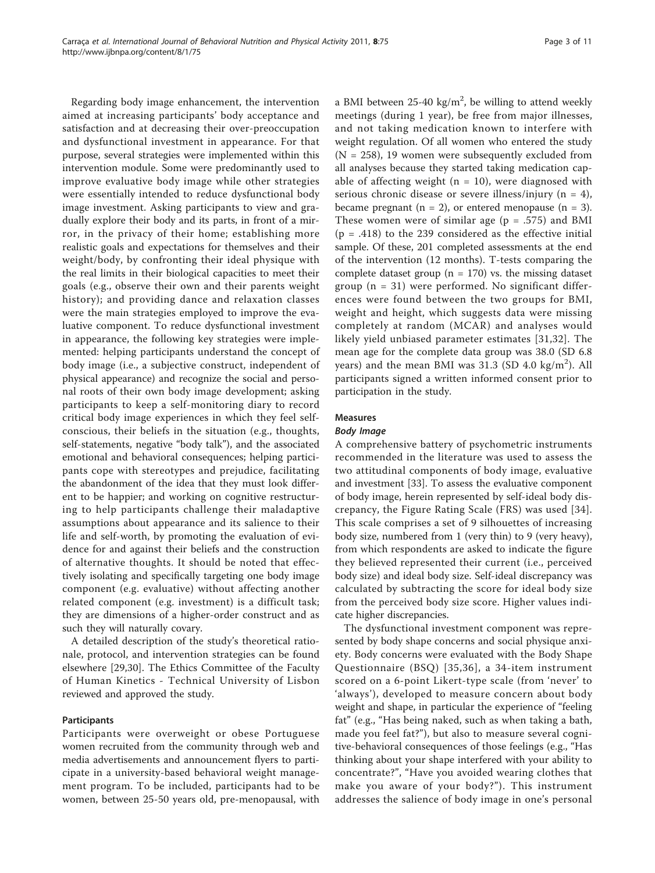Regarding body image enhancement, the intervention aimed at increasing participants' body acceptance and satisfaction and at decreasing their over-preoccupation and dysfunctional investment in appearance. For that purpose, several strategies were implemented within this intervention module. Some were predominantly used to improve evaluative body image while other strategies were essentially intended to reduce dysfunctional body image investment. Asking participants to view and gradually explore their body and its parts, in front of a mirror, in the privacy of their home; establishing more realistic goals and expectations for themselves and their weight/body, by confronting their ideal physique with the real limits in their biological capacities to meet their goals (e.g., observe their own and their parents weight history); and providing dance and relaxation classes were the main strategies employed to improve the evaluative component. To reduce dysfunctional investment in appearance, the following key strategies were implemented: helping participants understand the concept of body image (i.e., a subjective construct, independent of physical appearance) and recognize the social and personal roots of their own body image development; asking participants to keep a self-monitoring diary to record critical body image experiences in which they feel selfconscious, their beliefs in the situation (e.g., thoughts, self-statements, negative "body talk"), and the associated emotional and behavioral consequences; helping participants cope with stereotypes and prejudice, facilitating the abandonment of the idea that they must look different to be happier; and working on cognitive restructuring to help participants challenge their maladaptive assumptions about appearance and its salience to their life and self-worth, by promoting the evaluation of evidence for and against their beliefs and the construction of alternative thoughts. It should be noted that effectively isolating and specifically targeting one body image component (e.g. evaluative) without affecting another related component (e.g. investment) is a difficult task; they are dimensions of a higher-order construct and as such they will naturally covary.

A detailed description of the study's theoretical rationale, protocol, and intervention strategies can be found elsewhere [[29,30\]](#page-9-0). The Ethics Committee of the Faculty of Human Kinetics - Technical University of Lisbon reviewed and approved the study.

# Participants

Participants were overweight or obese Portuguese women recruited from the community through web and media advertisements and announcement flyers to participate in a university-based behavioral weight management program. To be included, participants had to be women, between 25-50 years old, pre-menopausal, with

a BMI between  $25-40$  kg/m<sup>2</sup>, be willing to attend weekly meetings (during 1 year), be free from major illnesses, and not taking medication known to interfere with weight regulation. Of all women who entered the study  $(N = 258)$ , 19 women were subsequently excluded from all analyses because they started taking medication capable of affecting weight ( $n = 10$ ), were diagnosed with serious chronic disease or severe illness/injury  $(n = 4)$ , became pregnant ( $n = 2$ ), or entered menopause ( $n = 3$ ). These women were of similar age  $(p = .575)$  and BMI  $(p = .418)$  to the 239 considered as the effective initial sample. Of these, 201 completed assessments at the end of the intervention (12 months). T-tests comparing the complete dataset group ( $n = 170$ ) vs. the missing dataset group (n = 31) were performed. No significant differences were found between the two groups for BMI, weight and height, which suggests data were missing completely at random (MCAR) and analyses would likely yield unbiased parameter estimates [[31,32\]](#page-9-0). The mean age for the complete data group was 38.0 (SD 6.8 years) and the mean BMI was  $31.3$  (SD  $4.0$  kg/m<sup>2</sup>). All participants signed a written informed consent prior to participation in the study.

#### Measures

# Body Image

A comprehensive battery of psychometric instruments recommended in the literature was used to assess the two attitudinal components of body image, evaluative and investment [[33\]](#page-9-0). To assess the evaluative component of body image, herein represented by self-ideal body discrepancy, the Figure Rating Scale (FRS) was used [[34\]](#page-9-0). This scale comprises a set of 9 silhouettes of increasing body size, numbered from 1 (very thin) to 9 (very heavy), from which respondents are asked to indicate the figure they believed represented their current (i.e., perceived body size) and ideal body size. Self-ideal discrepancy was calculated by subtracting the score for ideal body size from the perceived body size score. Higher values indicate higher discrepancies.

The dysfunctional investment component was represented by body shape concerns and social physique anxiety. Body concerns were evaluated with the Body Shape Questionnaire (BSQ) [[35](#page-9-0),[36](#page-9-0)], a 34-item instrument scored on a 6-point Likert-type scale (from 'never' to 'always'), developed to measure concern about body weight and shape, in particular the experience of "feeling fat" (e.g., "Has being naked, such as when taking a bath, made you feel fat?"), but also to measure several cognitive-behavioral consequences of those feelings (e.g., "Has thinking about your shape interfered with your ability to concentrate?", "Have you avoided wearing clothes that make you aware of your body?"). This instrument addresses the salience of body image in one's personal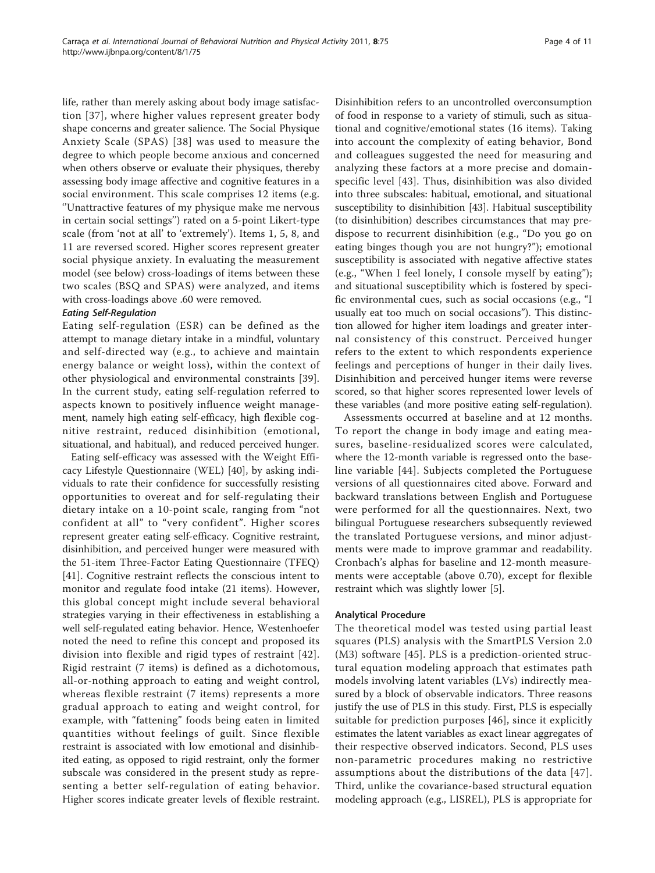life, rather than merely asking about body image satisfaction [[37](#page-9-0)], where higher values represent greater body shape concerns and greater salience. The Social Physique Anxiety Scale (SPAS) [[38](#page-9-0)] was used to measure the degree to which people become anxious and concerned when others observe or evaluate their physiques, thereby assessing body image affective and cognitive features in a social environment. This scale comprises 12 items (e.g. ''Unattractive features of my physique make me nervous in certain social settings'') rated on a 5-point Likert-type scale (from 'not at all' to 'extremely'). Items 1, 5, 8, and 11 are reversed scored. Higher scores represent greater social physique anxiety. In evaluating the measurement model (see below) cross-loadings of items between these two scales (BSQ and SPAS) were analyzed, and items with cross-loadings above .60 were removed.

# Eating Self-Regulation

Eating self-regulation (ESR) can be defined as the attempt to manage dietary intake in a mindful, voluntary and self-directed way (e.g., to achieve and maintain energy balance or weight loss), within the context of other physiological and environmental constraints [[39](#page-9-0)]. In the current study, eating self-regulation referred to aspects known to positively influence weight management, namely high eating self-efficacy, high flexible cognitive restraint, reduced disinhibition (emotional, situational, and habitual), and reduced perceived hunger.

Eating self-efficacy was assessed with the Weight Efficacy Lifestyle Questionnaire (WEL) [\[40](#page-9-0)], by asking individuals to rate their confidence for successfully resisting opportunities to overeat and for self-regulating their dietary intake on a 10-point scale, ranging from "not confident at all" to "very confident". Higher scores represent greater eating self-efficacy. Cognitive restraint, disinhibition, and perceived hunger were measured with the 51-item Three-Factor Eating Questionnaire (TFEQ) [[41\]](#page-9-0). Cognitive restraint reflects the conscious intent to monitor and regulate food intake (21 items). However, this global concept might include several behavioral strategies varying in their effectiveness in establishing a well self-regulated eating behavior. Hence, Westenhoefer noted the need to refine this concept and proposed its division into flexible and rigid types of restraint [[42\]](#page-9-0). Rigid restraint (7 items) is defined as a dichotomous, all-or-nothing approach to eating and weight control, whereas flexible restraint (7 items) represents a more gradual approach to eating and weight control, for example, with "fattening" foods being eaten in limited quantities without feelings of guilt. Since flexible restraint is associated with low emotional and disinhibited eating, as opposed to rigid restraint, only the former subscale was considered in the present study as representing a better self-regulation of eating behavior. Higher scores indicate greater levels of flexible restraint. Disinhibition refers to an uncontrolled overconsumption of food in response to a variety of stimuli, such as situational and cognitive/emotional states (16 items). Taking into account the complexity of eating behavior, Bond and colleagues suggested the need for measuring and analyzing these factors at a more precise and domainspecific level [[43\]](#page-9-0). Thus, disinhibition was also divided into three subscales: habitual, emotional, and situational susceptibility to disinhibition [[43](#page-9-0)]. Habitual susceptibility (to disinhibition) describes circumstances that may predispose to recurrent disinhibition (e.g., "Do you go on eating binges though you are not hungry?"); emotional susceptibility is associated with negative affective states (e.g., "When I feel lonely, I console myself by eating"); and situational susceptibility which is fostered by specific environmental cues, such as social occasions (e.g., "I usually eat too much on social occasions"). This distinction allowed for higher item loadings and greater internal consistency of this construct. Perceived hunger refers to the extent to which respondents experience feelings and perceptions of hunger in their daily lives. Disinhibition and perceived hunger items were reverse scored, so that higher scores represented lower levels of these variables (and more positive eating self-regulation).

Assessments occurred at baseline and at 12 months. To report the change in body image and eating measures, baseline-residualized scores were calculated, where the 12-month variable is regressed onto the baseline variable [[44\]](#page-9-0). Subjects completed the Portuguese versions of all questionnaires cited above. Forward and backward translations between English and Portuguese were performed for all the questionnaires. Next, two bilingual Portuguese researchers subsequently reviewed the translated Portuguese versions, and minor adjustments were made to improve grammar and readability. Cronbach's alphas for baseline and 12-month measurements were acceptable (above 0.70), except for flexible restraint which was slightly lower [[5\]](#page-9-0).

#### Analytical Procedure

The theoretical model was tested using partial least squares (PLS) analysis with the SmartPLS Version 2.0 (M3) software [[45](#page-9-0)]. PLS is a prediction-oriented structural equation modeling approach that estimates path models involving latent variables (LVs) indirectly measured by a block of observable indicators. Three reasons justify the use of PLS in this study. First, PLS is especially suitable for prediction purposes [\[46\]](#page-9-0), since it explicitly estimates the latent variables as exact linear aggregates of their respective observed indicators. Second, PLS uses non-parametric procedures making no restrictive assumptions about the distributions of the data [[47\]](#page-9-0). Third, unlike the covariance-based structural equation modeling approach (e.g., LISREL), PLS is appropriate for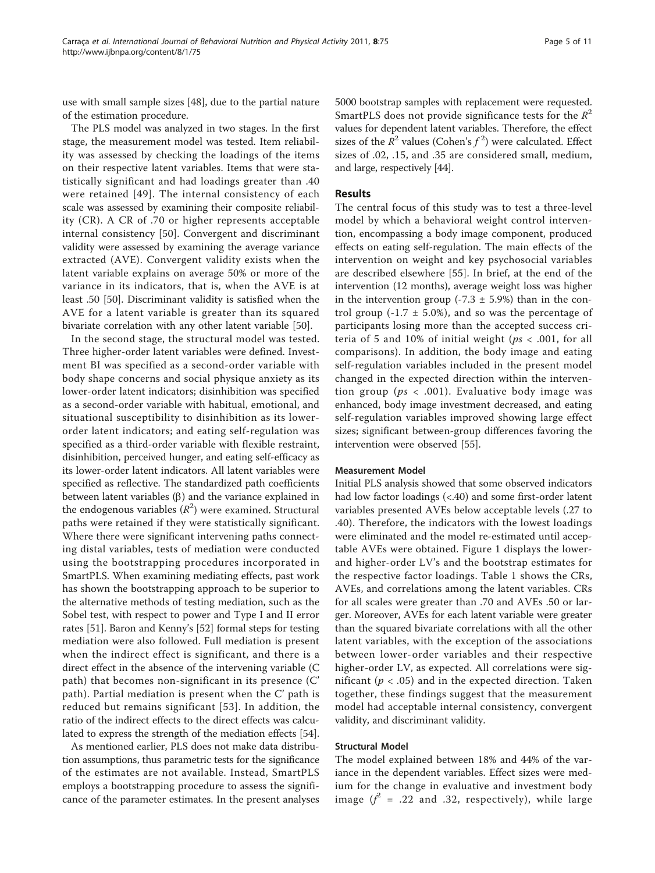use with small sample sizes [[48](#page-9-0)], due to the partial nature of the estimation procedure.

The PLS model was analyzed in two stages. In the first stage, the measurement model was tested. Item reliability was assessed by checking the loadings of the items on their respective latent variables. Items that were statistically significant and had loadings greater than .40 were retained [[49](#page-10-0)]. The internal consistency of each scale was assessed by examining their composite reliability (CR). A CR of .70 or higher represents acceptable internal consistency [[50\]](#page-10-0). Convergent and discriminant validity were assessed by examining the average variance extracted (AVE). Convergent validity exists when the latent variable explains on average 50% or more of the variance in its indicators, that is, when the AVE is at least .50 [\[50](#page-10-0)]. Discriminant validity is satisfied when the AVE for a latent variable is greater than its squared bivariate correlation with any other latent variable [\[50](#page-10-0)].

In the second stage, the structural model was tested. Three higher-order latent variables were defined. Investment BI was specified as a second-order variable with body shape concerns and social physique anxiety as its lower-order latent indicators; disinhibition was specified as a second-order variable with habitual, emotional, and situational susceptibility to disinhibition as its lowerorder latent indicators; and eating self-regulation was specified as a third-order variable with flexible restraint, disinhibition, perceived hunger, and eating self-efficacy as its lower-order latent indicators. All latent variables were specified as reflective. The standardized path coefficients between latent variables  $(\beta)$  and the variance explained in the endogenous variables  $({\mathbb R}^2)$  were examined. Structural paths were retained if they were statistically significant. Where there were significant intervening paths connecting distal variables, tests of mediation were conducted using the bootstrapping procedures incorporated in SmartPLS. When examining mediating effects, past work has shown the bootstrapping approach to be superior to the alternative methods of testing mediation, such as the Sobel test, with respect to power and Type I and II error rates [[51\]](#page-10-0). Baron and Kenny's [[52](#page-10-0)] formal steps for testing mediation were also followed. Full mediation is present when the indirect effect is significant, and there is a direct effect in the absence of the intervening variable (C path) that becomes non-significant in its presence (C' path). Partial mediation is present when the C' path is reduced but remains significant [[53](#page-10-0)]. In addition, the ratio of the indirect effects to the direct effects was calculated to express the strength of the mediation effects [[54](#page-10-0)].

As mentioned earlier, PLS does not make data distribution assumptions, thus parametric tests for the significance of the estimates are not available. Instead, SmartPLS employs a bootstrapping procedure to assess the significance of the parameter estimates. In the present analyses

5000 bootstrap samples with replacement were requested. SmartPLS does not provide significance tests for the  $R^2$ values for dependent latent variables. Therefore, the effect sizes of the  $R^2$  values (Cohen's  $f^2$ ) were calculated. Effect sizes of .02, .15, and .35 are considered small, medium, and large, respectively [[44](#page-9-0)].

# **Results**

The central focus of this study was to test a three-level model by which a behavioral weight control intervention, encompassing a body image component, produced effects on eating self-regulation. The main effects of the intervention on weight and key psychosocial variables are described elsewhere [\[55](#page-10-0)]. In brief, at the end of the intervention (12 months), average weight loss was higher in the intervention group (-7.3  $\pm$  5.9%) than in the control group (-1.7  $\pm$  5.0%), and so was the percentage of participants losing more than the accepted success criteria of 5 and 10% of initial weight ( $ps < .001$ , for all comparisons). In addition, the body image and eating self-regulation variables included in the present model changed in the expected direction within the intervention group ( $ps < .001$ ). Evaluative body image was enhanced, body image investment decreased, and eating self-regulation variables improved showing large effect sizes; significant between-group differences favoring the intervention were observed [\[55](#page-10-0)].

#### Measurement Model

Initial PLS analysis showed that some observed indicators had low factor loadings (<.40) and some first-order latent variables presented AVEs below acceptable levels (.27 to .40). Therefore, the indicators with the lowest loadings were eliminated and the model re-estimated until acceptable AVEs were obtained. Figure [1](#page-5-0) displays the lowerand higher-order LV's and the bootstrap estimates for the respective factor loadings. Table [1](#page-5-0) shows the CRs, AVEs, and correlations among the latent variables. CRs for all scales were greater than .70 and AVEs .50 or larger. Moreover, AVEs for each latent variable were greater than the squared bivariate correlations with all the other latent variables, with the exception of the associations between lower-order variables and their respective higher-order LV, as expected. All correlations were significant ( $p < .05$ ) and in the expected direction. Taken together, these findings suggest that the measurement model had acceptable internal consistency, convergent validity, and discriminant validity.

#### Structural Model

The model explained between 18% and 44% of the variance in the dependent variables. Effect sizes were medium for the change in evaluative and investment body image ( $f^2$  = .22 and .32, respectively), while large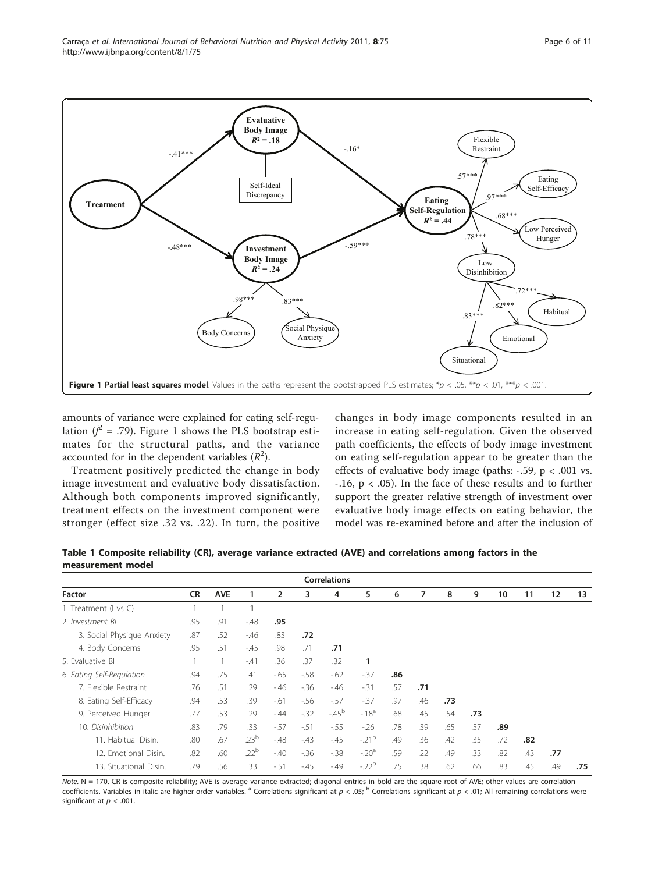<span id="page-5-0"></span>

amounts of variance were explained for eating self-regulation ( $f^2$  = .79). Figure 1 shows the PLS bootstrap estimates for the structural paths, and the variance accounted for in the dependent variables  $(R^2)$ .

Treatment positively predicted the change in body image investment and evaluative body dissatisfaction. Although both components improved significantly, treatment effects on the investment component were stronger (effect size .32 vs. .22). In turn, the positive

changes in body image components resulted in an increase in eating self-regulation. Given the observed path coefficients, the effects of body image investment on eating self-regulation appear to be greater than the effects of evaluative body image (paths:  $-.59$ ,  $p < .001$  vs.  $-.16$ ,  $p < .05$ ). In the face of these results and to further support the greater relative strength of investment over evaluative body image effects on eating behavior, the model was re-examined before and after the inclusion of

| Table 1 Composite reliability (CR), average variance extracted (AVE) and correlations among factors in the |  |
|------------------------------------------------------------------------------------------------------------|--|
| measurement model                                                                                          |  |

| <b>Correlations</b>        |           |            |                  |                |       |           |           |     |     |     |     |     |     |     |     |
|----------------------------|-----------|------------|------------------|----------------|-------|-----------|-----------|-----|-----|-----|-----|-----|-----|-----|-----|
| <b>Factor</b>              | <b>CR</b> | <b>AVE</b> |                  | $\overline{2}$ | 3     | 4         | 5         | 6   | 7   | 8   | 9   | 10  | 11  | 12  | 13  |
| 1. Treatment (I vs C)      |           |            |                  |                |       |           |           |     |     |     |     |     |     |     |     |
| 2. Investment BI           | .95       | .91        | $-48$            | .95            |       |           |           |     |     |     |     |     |     |     |     |
| 3. Social Physique Anxiety | .87       | .52        | $-46$            | .83            | .72   |           |           |     |     |     |     |     |     |     |     |
| 4. Body Concerns           | .95       | .51        | $-45$            | .98            | .71   | .71       |           |     |     |     |     |     |     |     |     |
| 5. Evaluative BI           |           |            | $-41$            | .36            | .37   | .32       |           |     |     |     |     |     |     |     |     |
| 6. Eating Self-Regulation  | .94       | .75        | .41              | -.65           | $-58$ | $-62$     | $-37$     | .86 |     |     |     |     |     |     |     |
| 7. Flexible Restraint      | .76       | .51        | .29              | $-46$          | $-36$ | $-46$     | $-31$     | .57 | .71 |     |     |     |     |     |     |
| 8. Eating Self-Efficacy    | .94       | .53        | .39              | $-61$          | $-56$ | $-57$     | $-37$     | .97 | .46 | .73 |     |     |     |     |     |
| 9. Perceived Hunger        | .77       | .53        | .29              | $-44$          | $-32$ | $-45^{b}$ | $-18^a$   | .68 | .45 | .54 | .73 |     |     |     |     |
| 10. Disinhibition          | .83       | .79        | .33              | $-57$          | $-51$ | $-55$     | $-26$     | .78 | .39 | .65 | .57 | .89 |     |     |     |
| 11. Habitual Disin.        | .80       | .67        | .23 <sup>b</sup> | $-48$          | $-43$ | $-45$     | $-21^{b}$ | .49 | .36 | .42 | .35 | .72 | .82 |     |     |
| 12. Emotional Disin.       | .82       | .60        | $22^{\rm b}$     | $-40$          | $-36$ | $-38$     | $-.20a$   | .59 | .22 | .49 | .33 | .82 | .43 | .77 |     |
| 13. Situational Disin.     | .79       | .56        | .33              | $-51$          | $-45$ | $-49$     | $-22^{b}$ | .75 | .38 | .62 | .66 | .83 | .45 | .49 | .75 |

Note. N = 170. CR is composite reliability; AVE is average variance extracted; diagonal entries in bold are the square root of AVE; other values are correlation coefficients. Variables in italic are higher-order variables. <sup>a</sup> Correlations significant at  $p < .05$ ; <sup>b</sup> Correlations significant at  $p < .01$ ; All remaining correlations were significant at  $p < .001$ .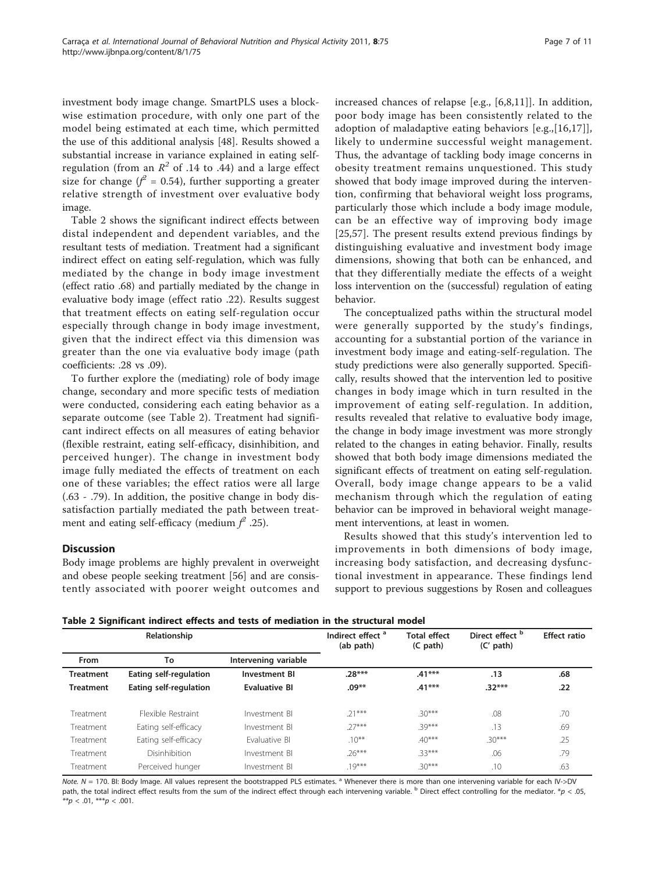investment body image change. SmartPLS uses a blockwise estimation procedure, with only one part of the model being estimated at each time, which permitted the use of this additional analysis [\[48\]](#page-9-0). Results showed a substantial increase in variance explained in eating selfregulation (from an  $R^2$  of .14 to .44) and a large effect size for change ( $f^2 = 0.54$ ), further supporting a greater relative strength of investment over evaluative body image.

Table 2 shows the significant indirect effects between distal independent and dependent variables, and the resultant tests of mediation. Treatment had a significant indirect effect on eating self-regulation, which was fully mediated by the change in body image investment (effect ratio .68) and partially mediated by the change in evaluative body image (effect ratio .22). Results suggest that treatment effects on eating self-regulation occur especially through change in body image investment, given that the indirect effect via this dimension was greater than the one via evaluative body image (path coefficients: .28 vs .09).

To further explore the (mediating) role of body image change, secondary and more specific tests of mediation were conducted, considering each eating behavior as a separate outcome (see Table 2). Treatment had significant indirect effects on all measures of eating behavior (flexible restraint, eating self-efficacy, disinhibition, and perceived hunger). The change in investment body image fully mediated the effects of treatment on each one of these variables; the effect ratios were all large (.63 - .79). In addition, the positive change in body dissatisfaction partially mediated the path between treatment and eating self-efficacy (medium  $f^2$  .25).

# **Discussion**

Body image problems are highly prevalent in overweight and obese people seeking treatment [\[56](#page-10-0)] and are consistently associated with poorer weight outcomes and increased chances of relapse [e.g., [\[6,8](#page-9-0),[11\]](#page-9-0)]. In addition, poor body image has been consistently related to the adoption of maladaptive eating behaviors [e.g.,[\[16](#page-9-0),[17\]](#page-9-0)], likely to undermine successful weight management. Thus, the advantage of tackling body image concerns in obesity treatment remains unquestioned. This study showed that body image improved during the intervention, confirming that behavioral weight loss programs, particularly those which include a body image module, can be an effective way of improving body image [[25,](#page-9-0)[57](#page-10-0)]. The present results extend previous findings by distinguishing evaluative and investment body image dimensions, showing that both can be enhanced, and that they differentially mediate the effects of a weight loss intervention on the (successful) regulation of eating behavior.

The conceptualized paths within the structural model were generally supported by the study's findings, accounting for a substantial portion of the variance in investment body image and eating-self-regulation. The study predictions were also generally supported. Specifically, results showed that the intervention led to positive changes in body image which in turn resulted in the improvement of eating self-regulation. In addition, results revealed that relative to evaluative body image, the change in body image investment was more strongly related to the changes in eating behavior. Finally, results showed that both body image dimensions mediated the significant effects of treatment on eating self-regulation. Overall, body image change appears to be a valid mechanism through which the regulation of eating behavior can be improved in behavioral weight management interventions, at least in women.

Results showed that this study's intervention led to improvements in both dimensions of body image, increasing body satisfaction, and decreasing dysfunctional investment in appearance. These findings lend support to previous suggestions by Rosen and colleagues

| Table 2 Significant indirect effects and tests of mediation in the structural model |  |  |  |
|-------------------------------------------------------------------------------------|--|--|--|
|-------------------------------------------------------------------------------------|--|--|--|

| Relationship     |                        |                      | Indirect effect <sup>a</sup><br>(ab path) | <b>Total effect</b><br>(C path) | Direct effect b<br>$(C'$ path) | <b>Effect ratio</b> |  |
|------------------|------------------------|----------------------|-------------------------------------------|---------------------------------|--------------------------------|---------------------|--|
| From             | To                     | Intervening variable |                                           |                                 |                                |                     |  |
| <b>Treatment</b> | Eating self-regulation | <b>Investment BI</b> | $.28***$                                  | $.41***$                        | .13                            | .68                 |  |
| <b>Treatment</b> | Eating self-regulation | <b>Evaluative BI</b> | $.09***$                                  | $.41***$                        | $.32***$                       | .22                 |  |
| Treatment        | Flexible Restraint     | Investment BI        | $.21***$                                  | $.30***$                        | .08                            | .70                 |  |
| Treatment        | Eating self-efficacy   | Investment BI        | $.27***$                                  | $.39***$                        | .13                            | .69                 |  |
| Treatment        | Eating self-efficacy   | <b>Fvaluative BL</b> | $.10***$                                  | $.40***$                        | $.30***$                       | .25                 |  |
| Treatment        | <b>Disinhibition</b>   | Investment BI        | $.26***$                                  | .33***                          | .06                            | .79                 |  |
| Treatment        | Perceived hunger       | Investment BI        | $.19***$                                  | $.30***$                        | .10                            | .63                 |  |

Note. N = 170. BI: Body Image. All values represent the bootstrapped PLS estimates. <sup>a</sup> Whenever there is more than one intervening variable for each IV->DV path, the total indirect effect results from the sum of the indirect effect through each intervening variable.  $b$  Direct effect controlling for the mediator.  $\ast$   $p$  < .05, \*\* $p < .01,$  \*\*\* $p < .001$ .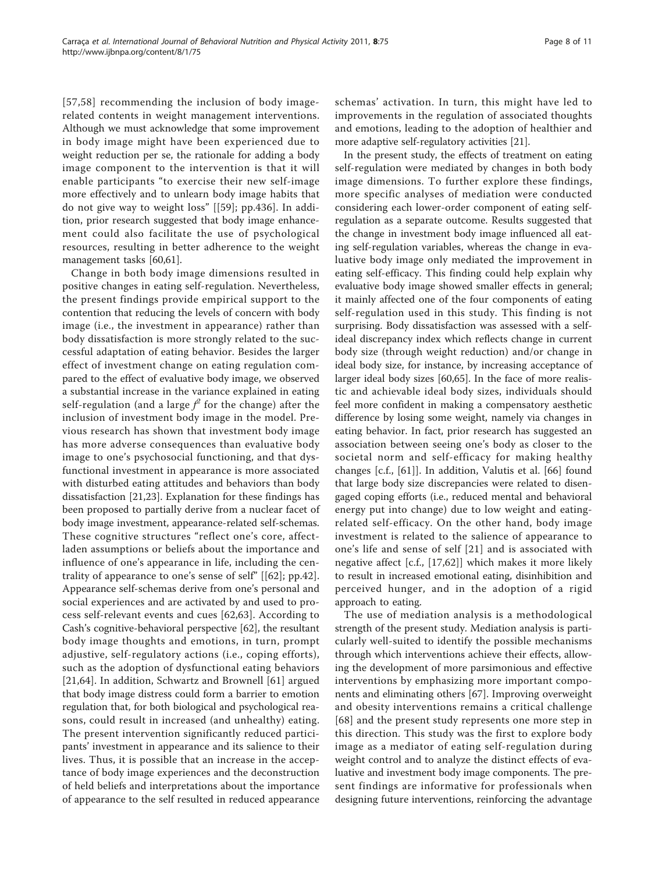[[57,58\]](#page-10-0) recommending the inclusion of body imagerelated contents in weight management interventions. Although we must acknowledge that some improvement in body image might have been experienced due to weight reduction per se, the rationale for adding a body image component to the intervention is that it will enable participants "to exercise their new self-image more effectively and to unlearn body image habits that do not give way to weight loss" [[[59\]](#page-10-0); pp.436]. In addition, prior research suggested that body image enhancement could also facilitate the use of psychological resources, resulting in better adherence to the weight management tasks [[60](#page-10-0),[61](#page-10-0)].

Change in both body image dimensions resulted in positive changes in eating self-regulation. Nevertheless, the present findings provide empirical support to the contention that reducing the levels of concern with body image (i.e., the investment in appearance) rather than body dissatisfaction is more strongly related to the successful adaptation of eating behavior. Besides the larger effect of investment change on eating regulation compared to the effect of evaluative body image, we observed a substantial increase in the variance explained in eating self-regulation (and a large  $f^2$  for the change) after the inclusion of investment body image in the model. Previous research has shown that investment body image has more adverse consequences than evaluative body image to one's psychosocial functioning, and that dysfunctional investment in appearance is more associated with disturbed eating attitudes and behaviors than body dissatisfaction [[21](#page-9-0),[23\]](#page-9-0). Explanation for these findings has been proposed to partially derive from a nuclear facet of body image investment, appearance-related self-schemas. These cognitive structures "reflect one's core, affectladen assumptions or beliefs about the importance and influence of one's appearance in life, including the centrality of appearance to one's sense of self" [[[62\]](#page-10-0); pp.42]. Appearance self-schemas derive from one's personal and social experiences and are activated by and used to process self-relevant events and cues [[62](#page-10-0),[63\]](#page-10-0). According to Cash's cognitive-behavioral perspective [\[62](#page-10-0)], the resultant body image thoughts and emotions, in turn, prompt adjustive, self-regulatory actions (i.e., coping efforts), such as the adoption of dysfunctional eating behaviors [[21](#page-9-0)[,64](#page-10-0)]. In addition, Schwartz and Brownell [[61](#page-10-0)] argued that body image distress could form a barrier to emotion regulation that, for both biological and psychological reasons, could result in increased (and unhealthy) eating. The present intervention significantly reduced participants' investment in appearance and its salience to their lives. Thus, it is possible that an increase in the acceptance of body image experiences and the deconstruction of held beliefs and interpretations about the importance of appearance to the self resulted in reduced appearance schemas' activation. In turn, this might have led to improvements in the regulation of associated thoughts and emotions, leading to the adoption of healthier and more adaptive self-regulatory activities [\[21](#page-9-0)].

In the present study, the effects of treatment on eating self-regulation were mediated by changes in both body image dimensions. To further explore these findings, more specific analyses of mediation were conducted considering each lower-order component of eating selfregulation as a separate outcome. Results suggested that the change in investment body image influenced all eating self-regulation variables, whereas the change in evaluative body image only mediated the improvement in eating self-efficacy. This finding could help explain why evaluative body image showed smaller effects in general; it mainly affected one of the four components of eating self-regulation used in this study. This finding is not surprising. Body dissatisfaction was assessed with a selfideal discrepancy index which reflects change in current body size (through weight reduction) and/or change in ideal body size, for instance, by increasing acceptance of larger ideal body sizes [\[60,65\]](#page-10-0). In the face of more realistic and achievable ideal body sizes, individuals should feel more confident in making a compensatory aesthetic difference by losing some weight, namely via changes in eating behavior. In fact, prior research has suggested an association between seeing one's body as closer to the societal norm and self-efficacy for making healthy changes [c.f., [[61\]](#page-10-0)]. In addition, Valutis et al. [[66\]](#page-10-0) found that large body size discrepancies were related to disengaged coping efforts (i.e., reduced mental and behavioral energy put into change) due to low weight and eatingrelated self-efficacy. On the other hand, body image investment is related to the salience of appearance to one's life and sense of self [[21](#page-9-0)] and is associated with negative affect [c.f., [\[17](#page-9-0),[62\]](#page-10-0)] which makes it more likely to result in increased emotional eating, disinhibition and perceived hunger, and in the adoption of a rigid approach to eating.

The use of mediation analysis is a methodological strength of the present study. Mediation analysis is particularly well-suited to identify the possible mechanisms through which interventions achieve their effects, allowing the development of more parsimonious and effective interventions by emphasizing more important components and eliminating others [\[67](#page-10-0)]. Improving overweight and obesity interventions remains a critical challenge [[68](#page-10-0)] and the present study represents one more step in this direction. This study was the first to explore body image as a mediator of eating self-regulation during weight control and to analyze the distinct effects of evaluative and investment body image components. The present findings are informative for professionals when designing future interventions, reinforcing the advantage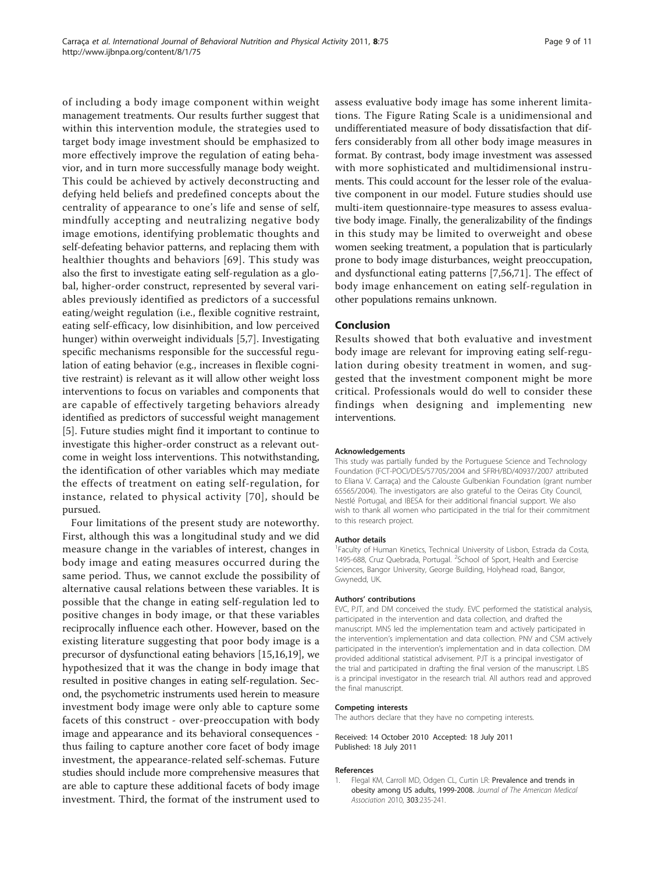<span id="page-8-0"></span>of including a body image component within weight management treatments. Our results further suggest that within this intervention module, the strategies used to target body image investment should be emphasized to more effectively improve the regulation of eating behavior, and in turn more successfully manage body weight. This could be achieved by actively deconstructing and defying held beliefs and predefined concepts about the centrality of appearance to one's life and sense of self, mindfully accepting and neutralizing negative body image emotions, identifying problematic thoughts and self-defeating behavior patterns, and replacing them with healthier thoughts and behaviors [[69](#page-10-0)]. This study was also the first to investigate eating self-regulation as a global, higher-order construct, represented by several variables previously identified as predictors of a successful eating/weight regulation (i.e., flexible cognitive restraint, eating self-efficacy, low disinhibition, and low perceived hunger) within overweight individuals [\[5,7](#page-9-0)]. Investigating specific mechanisms responsible for the successful regulation of eating behavior (e.g., increases in flexible cognitive restraint) is relevant as it will allow other weight loss interventions to focus on variables and components that are capable of effectively targeting behaviors already identified as predictors of successful weight management [[5\]](#page-9-0). Future studies might find it important to continue to investigate this higher-order construct as a relevant outcome in weight loss interventions. This notwithstanding, the identification of other variables which may mediate the effects of treatment on eating self-regulation, for instance, related to physical activity [[70](#page-10-0)], should be pursued.

Four limitations of the present study are noteworthy. First, although this was a longitudinal study and we did measure change in the variables of interest, changes in body image and eating measures occurred during the same period. Thus, we cannot exclude the possibility of alternative causal relations between these variables. It is possible that the change in eating self-regulation led to positive changes in body image, or that these variables reciprocally influence each other. However, based on the existing literature suggesting that poor body image is a precursor of dysfunctional eating behaviors [[15,16](#page-9-0),[19](#page-9-0)], we hypothesized that it was the change in body image that resulted in positive changes in eating self-regulation. Second, the psychometric instruments used herein to measure investment body image were only able to capture some facets of this construct - over-preoccupation with body image and appearance and its behavioral consequences thus failing to capture another core facet of body image investment, the appearance-related self-schemas. Future studies should include more comprehensive measures that are able to capture these additional facets of body image investment. Third, the format of the instrument used to

assess evaluative body image has some inherent limitations. The Figure Rating Scale is a unidimensional and undifferentiated measure of body dissatisfaction that differs considerably from all other body image measures in format. By contrast, body image investment was assessed with more sophisticated and multidimensional instruments. This could account for the lesser role of the evaluative component in our model. Future studies should use multi-item questionnaire-type measures to assess evaluative body image. Finally, the generalizability of the findings in this study may be limited to overweight and obese women seeking treatment, a population that is particularly prone to body image disturbances, weight preoccupation, and dysfunctional eating patterns [\[7](#page-9-0),[56,71\]](#page-10-0). The effect of body image enhancement on eating self-regulation in other populations remains unknown.

# Conclusion

Results showed that both evaluative and investment body image are relevant for improving eating self-regulation during obesity treatment in women, and suggested that the investment component might be more critical. Professionals would do well to consider these findings when designing and implementing new interventions.

#### Acknowledgements

This study was partially funded by the Portuguese Science and Technology Foundation (FCT-POCI/DES/57705/2004 and SFRH/BD/40937/2007 attributed to Eliana V. Carraça) and the Calouste Gulbenkian Foundation (grant number 65565/2004). The investigators are also grateful to the Oeiras City Council, Nestlé Portugal, and IBESA for their additional financial support. We also wish to thank all women who participated in the trial for their commitment to this research project.

#### Author details

<sup>1</sup> Faculty of Human Kinetics, Technical University of Lisbon, Estrada da Costa 1495-688, Cruz Quebrada, Portugal. <sup>2</sup>School of Sport, Health and Exercise Sciences, Bangor University, George Building, Holyhead road, Bangor, Gwynedd, UK.

#### Authors' contributions

EVC, PJT, and DM conceived the study. EVC performed the statistical analysis, participated in the intervention and data collection, and drafted the manuscript. MNS led the implementation team and actively participated in the intervention's implementation and data collection. PNV and CSM actively participated in the intervention's implementation and in data collection. DM provided additional statistical advisement. PJT is a principal investigator of the trial and participated in drafting the final version of the manuscript. LBS is a principal investigator in the research trial. All authors read and approved the final manuscript.

#### Competing interests

The authors declare that they have no competing interests.

Received: 14 October 2010 Accepted: 18 July 2011 Published: 18 July 2011

#### References

1. Flegal KM, Carroll MD, Odgen CL, Curtin LR: [Prevalence and trends in](http://www.ncbi.nlm.nih.gov/pubmed/20071471?dopt=Abstract) [obesity among US adults, 1999-2008.](http://www.ncbi.nlm.nih.gov/pubmed/20071471?dopt=Abstract) Journal of The American Medical Association 2010, 303:235-241.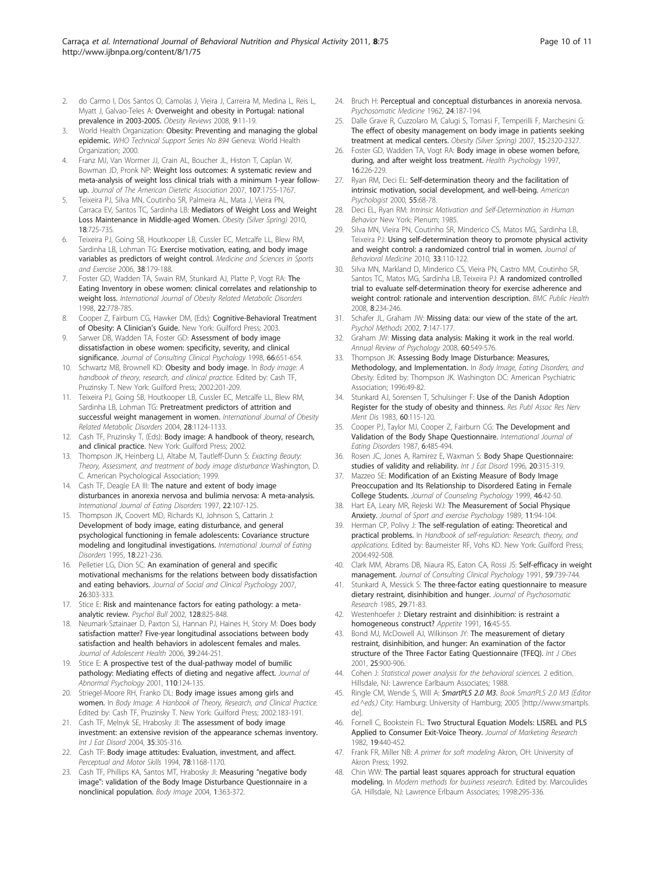- <span id="page-9-0"></span>2. do Carmo I, Dos Santos O, Camolas J, Vieira J, Carreira M, Medina L, Reis L, Myatt J, Galvao-Teles A: [Overweight and obesity in Portugal: national](http://www.ncbi.nlm.nih.gov/pubmed/18034792?dopt=Abstract) [prevalence in 2003-2005.](http://www.ncbi.nlm.nih.gov/pubmed/18034792?dopt=Abstract) Obesity Reviews 2008, 9:11-19.
- World Health Organization: Obesity: Preventing and managing the global epidemic. WHO Technical Support Series No 894 Geneva: World Health Organization; 2000.
- 4. Franz MJ, Van Wormer JJ, Crain AL, Boucher JL, Histon T, Caplan W, Bowman JD, Pronk NP: [Weight loss outcomes: A systematic review and](http://www.ncbi.nlm.nih.gov/pubmed/17904936?dopt=Abstract) [meta-analysis of weight loss clinical trials with a minimum 1-year follow](http://www.ncbi.nlm.nih.gov/pubmed/17904936?dopt=Abstract)[up.](http://www.ncbi.nlm.nih.gov/pubmed/17904936?dopt=Abstract) Journal of The American Dietetic Association 2007, 107:1755-1767.
- 5. Teixeira PJ, Silva MN, Coutinho SR, Palmeira AL, Mata J, Vieira PN, Carraca EV, Santos TC, Sardinha LB: Mediators of Weight Loss and Weight Loss Maintenance in Middle-aged Women. Obesity (Silver Spring) 2010, 18:725-735.
- 6. Teixeira PJ, Going SB, Houtkooper LB, Cussler EC, Metcalfe LL, Blew RM, Sardinha LB, Lohman TG: Exercise motivation, eating, and body image variables as predictors of weight control. Medicine and Sciences in Sports and Exercise 2006, 38:179-188.
- 7. Foster GD, Wadden TA, Swain RM, Stunkard AJ, Platte P, Vogt RA: The Eating Inventory in obese women: clinical correlates and relationship to weight loss. International Journal of Obesity Related Metabolic Disorders 1998, 22:778-785.
- 8. Cooper Z, Fairburn CG, Hawker DM, (Eds): Cognitive-Behavioral Treatment of Obesity: A Clinician's Guide. New York: Guilford Press; 2003.
- 9. Sarwer DB, Wadden TA, Foster GD: Assessment of body image dissatisfaction in obese women: specificity, severity, and clinical significance. Journal of Consulting Clinical Psychology 1998, 66:651-654.
- 10. Schwartz MB, Brownell KD: Obesity and body image. In Body image: A handbook of theory, research, and clinical practice. Edited by: Cash TF, Pruzinsky T. New York: Guilford Press; 2002:201-209.
- 11. Teixeira PJ, Going SB, Houtkooper LB, Cussler EC, Metcalfe LL, Blew RM, Sardinha LB, Lohman TG: Pretreatment predictors of attrition and successful weight management in women. International Journal of Obesity Related Metabolic Disorders 2004, 28:1124-1133.
- 12. Cash TF, Pruzinsky T, (Eds): Body image: A handbook of theory, research, and clinical practice. New York: Guilford Press; 2002.
- 13. Thompson JK, Heinberg LJ, Altabe M, Tautleff-Dunn S: Exacting Beauty: Theory, Assessment, and treatment of body image disturbance Washington, D. C. American Psychological Association; 1999.
- 14. Cash TF, Deagle EA III: [The nature and extent of body image](http://www.ncbi.nlm.nih.gov/pubmed/9261648?dopt=Abstract) [disturbances in anorexia nervosa and bulimia nervosa: A meta-analysis.](http://www.ncbi.nlm.nih.gov/pubmed/9261648?dopt=Abstract) International Journal of Eating Disorders 1997, 22:107-125.
- 15. Thompson JK, Coovert MD, Richards KJ, Johnson S, Cattarin J: [Development of body image, eating disturbance, and general](http://www.ncbi.nlm.nih.gov/pubmed/8556018?dopt=Abstract) [psychological functioning in female adolescents: Covariance structure](http://www.ncbi.nlm.nih.gov/pubmed/8556018?dopt=Abstract) [modeling and longitudinal investigations.](http://www.ncbi.nlm.nih.gov/pubmed/8556018?dopt=Abstract) International Journal of Eating Disorders 1995, 18:221-236.
- 16. Pelletier LG, Dion SC: An examination of general and specific motivational mechanisms for the relations between body dissatisfaction and eating behaviors. Journal of Social and Clinical Psychology 2007, 26:303-333.
- 17. Stice E: [Risk and maintenance factors for eating pathology: a meta](http://www.ncbi.nlm.nih.gov/pubmed/12206196?dopt=Abstract)[analytic review.](http://www.ncbi.nlm.nih.gov/pubmed/12206196?dopt=Abstract) Psychol Bull 2002, 128:825-848.
- 18. Neumark-Sztainaer D, Paxton SJ, Hannan PJ, Haines H, Story M: [Does body](http://www.ncbi.nlm.nih.gov/pubmed/16857537?dopt=Abstract) [satisfaction matter? Five-year longitudinal associations between body](http://www.ncbi.nlm.nih.gov/pubmed/16857537?dopt=Abstract) [satisfaction and health behaviors in adolescent females and males.](http://www.ncbi.nlm.nih.gov/pubmed/16857537?dopt=Abstract) Journal of Adolescent Health 2006, 39:244-251.
- 19. Stice E: [A prospective test of the dual-pathway model of bumilic](http://www.ncbi.nlm.nih.gov/pubmed/11261386?dopt=Abstract) [pathology: Mediating effects of dieting and negative affect.](http://www.ncbi.nlm.nih.gov/pubmed/11261386?dopt=Abstract) Journal of Abnormal Psychology 2001, 110:124-135.
- 20. Striegel-Moore RH, Franko DL: Body image issues among girls and women. In Body Image: A Hanbook of Theory, Research, and Clinical Practice. Edited by: Cash TF, Pruzinsky T. New York: Guilford Press; 2002:183-191.
- 21. Cash TF, Melnyk SE, Hrabosky JI: [The assessment of body image](http://www.ncbi.nlm.nih.gov/pubmed/15048946?dopt=Abstract) [investment: an extensive revision of the appearance schemas inventory.](http://www.ncbi.nlm.nih.gov/pubmed/15048946?dopt=Abstract) Int J Eat Disord 2004, 35:305-316.
- 22. Cash TF: [Body image attitudes: Evaluation, investment, and affect.](http://www.ncbi.nlm.nih.gov/pubmed/7936939?dopt=Abstract) Perceptual and Motor Skills 1994, 78:1168-1170.
- 23. Cash TF, Phillips KA, Santos MT, Hrabosky JI: Measuring "[negative body](http://www.ncbi.nlm.nih.gov/pubmed/17075607?dopt=Abstract) [image": validation of the Body Image Disturbance Questionnaire in a](http://www.ncbi.nlm.nih.gov/pubmed/17075607?dopt=Abstract) [nonclinical population.](http://www.ncbi.nlm.nih.gov/pubmed/17075607?dopt=Abstract) Body Image 2004, 1:363-372.
- 24. Bruch H: [Perceptual and conceptual disturbances in anorexia nervosa.](http://www.ncbi.nlm.nih.gov/pubmed/13873828?dopt=Abstract) Psychosomatic Medicine 1962, 24:187-194.
- 25. Dalle Grave R, Cuzzolaro M, Calugi S, Tomasi F, Temperilli F, Marchesini G: The effect of obesity management on body image in patients seeking treatment at medical centers. Obesity (Silver Spring) 2007, 15:2320-2327.
- 26. Foster GD, Wadden TA, Vogt RA: [Body image in obese women before,](http://www.ncbi.nlm.nih.gov/pubmed/9152700?dopt=Abstract) [during, and after weight loss treatment.](http://www.ncbi.nlm.nih.gov/pubmed/9152700?dopt=Abstract) Health Psychology 1997, 16:226-229.
- 27. Ryan RM, Deci EL: [Self-determination theory and the facilitation of](http://www.ncbi.nlm.nih.gov/pubmed/11392867?dopt=Abstract) [intrinsic motivation, social development, and well-being.](http://www.ncbi.nlm.nih.gov/pubmed/11392867?dopt=Abstract) American Psychologist 2000, 55:68-78.
- 28. Deci EL, Ryan RM: Intrinsic Motivation and Self-Determination in Human Behavior New York: Plenum; 1985.
- 29. Silva MN, Vieira PN, Coutinho SR, Minderico CS, Matos MG, Sardinha LB, Teixeira PJ: [Using self-determination theory to promote physical activity](http://www.ncbi.nlm.nih.gov/pubmed/20012179?dopt=Abstract) [and weight control: a randomized control trial in women.](http://www.ncbi.nlm.nih.gov/pubmed/20012179?dopt=Abstract) Journal of Behavioral Medicine 2010, 33:110-122.
- 30. Silva MN, Markland D, Minderico CS, Vieira PN, Castro MM, Coutinho SR, Santos TC, Matos MG, Sardinha LB, Teixeira PJ: [A randomized controlled](http://www.ncbi.nlm.nih.gov/pubmed/18613959?dopt=Abstract) [trial to evaluate self-determination theory for exercise adherence and](http://www.ncbi.nlm.nih.gov/pubmed/18613959?dopt=Abstract) [weight control: rationale and intervention description.](http://www.ncbi.nlm.nih.gov/pubmed/18613959?dopt=Abstract) BMC Public Health 2008, 8:234-246.
- 31. Schafer JL, Graham JW: [Missing data: our view of the state of the art.](http://www.ncbi.nlm.nih.gov/pubmed/12090408?dopt=Abstract) Psychol Methods 2002, 7:147-177.
- 32. Graham JW: Missing data analysis: Making it work in the real world. Annual Review of Psychology 2008, 60:549-576.
- 33. Thompson JK: Assessing Body Image Disturbance: Measures, Methodology, and Implementation. In Body Image, Eating Disorders, and Obesity. Edited by: Thompson JK. Washington DC: American Psychiatric Association; 1996:49-82.
- 34. Stunkard AJ, Sorensen T, Schulsinger F: [Use of the Danish Adoption](http://www.ncbi.nlm.nih.gov/pubmed/6823524?dopt=Abstract) [Register for the study of obesity and thinness.](http://www.ncbi.nlm.nih.gov/pubmed/6823524?dopt=Abstract) Res Publ Assoc Res Nerv Ment Dis 1983, 60:115-120.
- 35. Cooper PJ, Taylor MJ, Cooper Z, Fairburn CG: The Development and Validation of the Body Shape Questionnaire. International Journal of Eating Disorders 1987, 6:485-494.
- 36. Rosen JC, Jones A, Ramirez E, Waxman S: [Body Shape Questionnaire:](http://www.ncbi.nlm.nih.gov/pubmed/8912044?dopt=Abstract) [studies of validity and reliability.](http://www.ncbi.nlm.nih.gov/pubmed/8912044?dopt=Abstract) Int J Eat Disord 1996, 20:315-319.
- 37. Mazzeo SE: Modification of an Existing Measure of Body Image Preoccupation and Its Relationship to Disordered Eating in Female College Students. Journal of Counseling Psychology 1999, 46:42-50.
- 38. Hart EA, Leary MR, Rejeski WJ: The Measurement of Social Physique Anxiety. Journal of Sport and exercise Psychology 1989, 11:94-104.
- 39. Herman CP, Polivy J: The self-regulation of eating: Theoretical and practical problems. In Handbook of self-regulation: Research, theory, and applications. Edited by: Baumeister RF, Vohs KD. New York: Guilford Press; 2004:492-508.
- 40. Clark MM, Abrams DB, Niaura RS, Eaton CA, Rossi JS: Self-efficacy in weight management. Journal of Consulting Clinical Psychology 1991, 59:739-744.
- 41. Stunkard A, Messick S: [The three-factor eating questionnaire to measure](http://www.ncbi.nlm.nih.gov/pubmed/3981480?dopt=Abstract) [dietary restraint, disinhibition and hunger.](http://www.ncbi.nlm.nih.gov/pubmed/3981480?dopt=Abstract) Journal of Psychosomatic Research 1985, 29:71-83.
- 42. Westenhoefer J: [Dietary restraint and disinhibition: is restraint a](http://www.ncbi.nlm.nih.gov/pubmed/2018403?dopt=Abstract) [homogeneous construct?](http://www.ncbi.nlm.nih.gov/pubmed/2018403?dopt=Abstract) Appetite 1991, 16:45-55.
- 43. Bond MJ, McDowell AJ, Wilkinson JY: The measurement of dietary restraint, disinhibition, and hunger: An examination of the factor structure of the Three Factor Eating Questionnaire (TFEQ). Int J Obes 2001, 25:900-906.
- 44. Cohen J: Statistical power analysis for the behavioral sciences. 2 edition. Hillsdale, NJ: Lawrence Earlbaum Associates; 1988.
- 45. Ringle CM, Wende S, Will A: SmartPLS 2.0 M3. Book SmartPLS 2.0 M3 (Editor ed.^eds.) City: Hamburg: University of Hamburg; 2005 [[http://www.smartpls.](http://www.smartpls.de) [de\]](http://www.smartpls.de).
- 46. Fornell C, Bookstein FL: Two Structural Equation Models: LISREL and PLS Applied to Consumer Exit-Voice Theory. Journal of Marketing Research 1982, 19:440-452.
- 47. Frank FR, Miller NB: A primer for soft modeling Akron, OH: University of Akron Press; 1992.
- 48. Chin WW: The partial least squares approach for structural equation modeling. In Modern methods for business research. Edited by: Marcoulides GA. Hillsdale, NJ: Lawrence Erlbaum Associates; 1998:295-336.